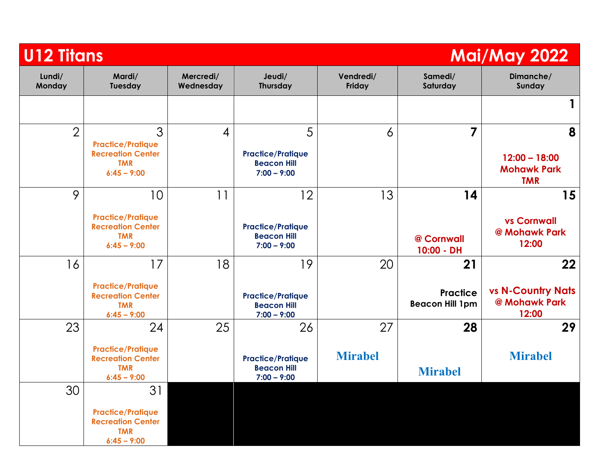| <b>U12 Titans</b><br><b>Mai/May 2022</b> |                                                                                           |                        |                                                                       |                      |                                                 |                                                          |
|------------------------------------------|-------------------------------------------------------------------------------------------|------------------------|-----------------------------------------------------------------------|----------------------|-------------------------------------------------|----------------------------------------------------------|
| Lundi/<br>Monday                         | Mardi/<br>Tuesday                                                                         | Mercredi/<br>Wednesday | Jeudi/<br>Thursday                                                    | Vendredi/<br>Friday  | Samedi/<br>Saturday                             | Dimanche/<br>Sunday                                      |
|                                          |                                                                                           |                        |                                                                       |                      |                                                 | 1                                                        |
| $\overline{2}$                           | 3<br><b>Practice/Pratique</b><br><b>Recreation Center</b><br><b>TMR</b><br>$6:45 - 9:00$  | $\overline{4}$         | 5<br><b>Practice/Pratique</b><br><b>Beacon Hill</b><br>$7:00 - 9:00$  | 6                    | 7                                               | 8<br>$12:00 - 18:00$<br><b>Mohawk Park</b><br><b>TMR</b> |
| 9                                        | 10<br><b>Practice/Pratique</b><br><b>Recreation Center</b><br><b>TMR</b><br>$6:45 - 9:00$ | 11                     | 12<br><b>Practice/Pratique</b><br><b>Beacon Hill</b><br>$7:00 - 9:00$ | 13                   | 14<br>@ Cornwall<br>10:00 - DH                  | 15<br><b>vs Cornwall</b><br>@ Mohawk Park<br>12:00       |
| 16                                       | 17<br><b>Practice/Pratique</b><br><b>Recreation Center</b><br><b>TMR</b><br>$6:45 - 9:00$ | 18                     | 19<br><b>Practice/Pratique</b><br><b>Beacon Hill</b><br>$7:00 - 9:00$ | 20                   | 21<br><b>Practice</b><br><b>Beacon Hill 1pm</b> | 22<br><b>vs N-Country Nats</b><br>@ Mohawk Park<br>12:00 |
| 23                                       | 24<br><b>Practice/Pratique</b><br><b>Recreation Center</b><br><b>TMR</b><br>$6:45 - 9:00$ | 25                     | 26<br><b>Practice/Pratique</b><br><b>Beacon Hill</b><br>$7:00 - 9:00$ | 27<br><b>Mirabel</b> | 28<br><b>Mirabel</b>                            | 29<br><b>Mirabel</b>                                     |
| 30                                       | 31<br><b>Practice/Pratique</b><br><b>Recreation Center</b><br><b>TMR</b><br>$6:45 - 9:00$ |                        |                                                                       |                      |                                                 |                                                          |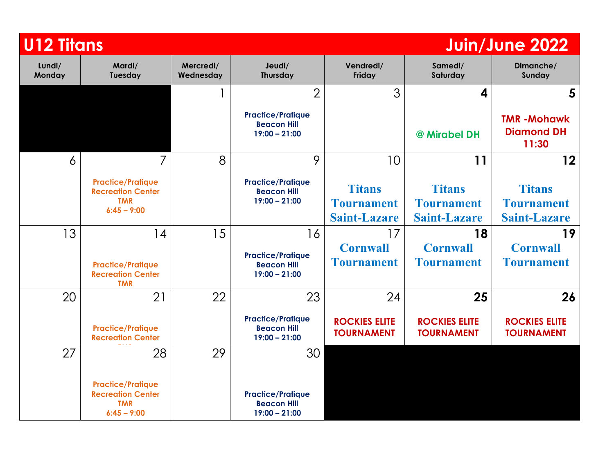| <b>U12 Titans</b> |                                                                                     |    |                                                                   |                                                           |                                                           | Juin/June 2022                                            |
|-------------------|-------------------------------------------------------------------------------------|----|-------------------------------------------------------------------|-----------------------------------------------------------|-----------------------------------------------------------|-----------------------------------------------------------|
| Lundi/<br>Monday  | Mardi/<br>Mercredi/<br>Tuesday<br>Wednesday                                         |    | Jeudi/<br>Thursday                                                | Vendredi/<br>Friday                                       | Samedi/<br>Saturday                                       | Dimanche/<br>Sunday                                       |
|                   |                                                                                     |    | 3<br>$\overline{2}$                                               |                                                           | 4                                                         | 5                                                         |
|                   |                                                                                     |    | <b>Practice/Pratique</b><br><b>Beacon Hill</b><br>$19:00 - 21:00$ |                                                           | @ Mirabel DH                                              | <b>TMR-Mohawk</b><br><b>Diamond DH</b><br>11:30           |
| 6                 | 7                                                                                   | 8  | 9                                                                 | 10                                                        | 11                                                        | 12                                                        |
|                   | <b>Practice/Pratique</b><br><b>Recreation Center</b><br><b>TMR</b><br>$6:45 - 9:00$ |    | <b>Practice/Pratique</b><br><b>Beacon Hill</b><br>$19:00 - 21:00$ | <b>Titans</b><br><b>Tournament</b><br><b>Saint-Lazare</b> | <b>Titans</b><br><b>Tournament</b><br><b>Saint-Lazare</b> | <b>Titans</b><br><b>Tournament</b><br><b>Saint-Lazare</b> |
| 13                | 14                                                                                  | 15 | 16                                                                | 17                                                        | 18                                                        | 19                                                        |
|                   | <b>Practice/Pratique</b><br><b>Recreation Center</b><br><b>TMR</b>                  |    | <b>Practice/Pratique</b><br><b>Beacon Hill</b><br>$19:00 - 21:00$ | <b>Cornwall</b><br><b>Tournament</b>                      | <b>Cornwall</b><br><b>Tournament</b>                      | <b>Cornwall</b><br><b>Tournament</b>                      |
| 20                | 21                                                                                  | 22 | 23                                                                | 24                                                        | 25                                                        | 26                                                        |
|                   | <b>Practice/Pratique</b><br><b>Recreation Center</b>                                |    | <b>Practice/Pratique</b><br><b>Beacon Hill</b><br>$19:00 - 21:00$ | <b>ROCKIES ELITE</b><br><b>TOURNAMENT</b>                 | <b>ROCKIES ELITE</b><br><b>TOURNAMENT</b>                 | <b>ROCKIES ELITE</b><br><b>TOURNAMENT</b>                 |
| 27                | 28                                                                                  | 29 | 30                                                                |                                                           |                                                           |                                                           |
|                   | <b>Practice/Pratique</b><br><b>Recreation Center</b><br><b>TMR</b><br>$6:45 - 9:00$ |    | <b>Practice/Pratique</b><br><b>Beacon Hill</b><br>$19:00 - 21:00$ |                                                           |                                                           |                                                           |